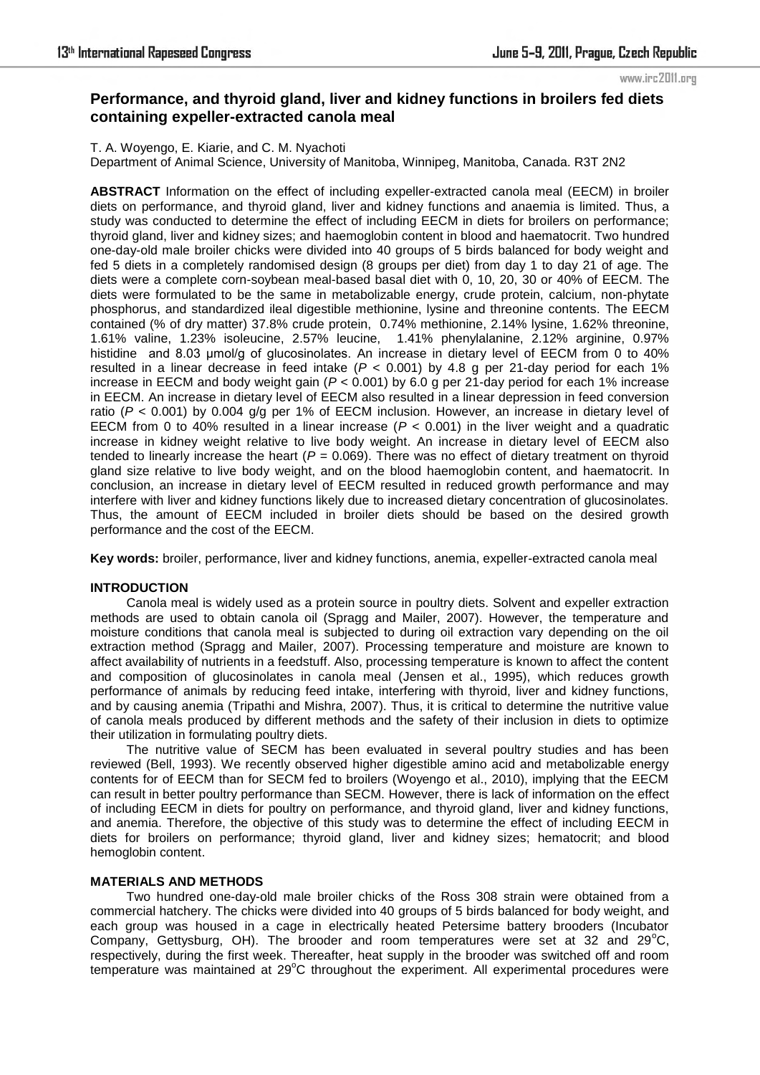# **Performance, and thyroid gland, liver and kidney functions in broilers fed diets containing expeller-extracted canola meal**

T. A. Woyengo, E. Kiarie, and C. M. Nyachoti Department of Animal Science, University of Manitoba, Winnipeg, Manitoba, Canada. R3T 2N2

**ABSTRACT** Information on the effect of including expeller-extracted canola meal (EECM) in broiler diets on performance, and thyroid gland, liver and kidney functions and anaemia is limited. Thus, a study was conducted to determine the effect of including EECM in diets for broilers on performance; thyroid gland, liver and kidney sizes; and haemoglobin content in blood and haematocrit. Two hundred one-day-old male broiler chicks were divided into 40 groups of 5 birds balanced for body weight and fed 5 diets in a completely randomised design (8 groups per diet) from day 1 to day 21 of age. The diets were a complete corn-soybean meal-based basal diet with 0, 10, 20, 30 or 40% of EECM. The diets were formulated to be the same in metabolizable energy, crude protein, calcium, non-phytate phosphorus, and standardized ileal digestible methionine, lysine and threonine contents. The EECM contained (% of dry matter) 37.8% crude protein, 0.74% methionine, 2.14% lysine, 1.62% threonine, 1.61% valine, 1.23% isoleucine, 2.57% leucine, 1.41% phenylalanine, 2.12% arginine, 0.97% histidine and 8.03 umol/g of glucosinolates. An increase in dietary level of EECM from 0 to 40% resulted in a linear decrease in feed intake  $(P < 0.001)$  by 4.8 g per 21-day period for each 1% increase in EECM and body weight gain (*P* < 0.001) by 6.0 g per 21-day period for each 1% increase in EECM. An increase in dietary level of EECM also resulted in a linear depression in feed conversion ratio (*P* < 0.001) by 0.004 g/g per 1% of EECM inclusion. However, an increase in dietary level of EECM from 0 to 40% resulted in a linear increase  $(P < 0.001)$  in the liver weight and a quadratic increase in kidney weight relative to live body weight. An increase in dietary level of EECM also tended to linearly increase the heart  $(P = 0.069)$ . There was no effect of dietary treatment on thyroid gland size relative to live body weight, and on the blood haemoglobin content, and haematocrit. In conclusion, an increase in dietary level of EECM resulted in reduced growth performance and may interfere with liver and kidney functions likely due to increased dietary concentration of glucosinolates. Thus, the amount of EECM included in broiler diets should be based on the desired growth performance and the cost of the EECM.

**Key words:** broiler, performance, liver and kidney functions, anemia, expeller-extracted canola meal

### **INTRODUCTION**

Canola meal is widely used as a protein source in poultry diets. Solvent and expeller extraction methods are used to obtain canola oil (Spragg and Mailer, 2007). However, the temperature and moisture conditions that canola meal is subjected to during oil extraction vary depending on the oil extraction method (Spragg and Mailer, 2007). Processing temperature and moisture are known to affect availability of nutrients in a feedstuff. Also, processing temperature is known to affect the content and composition of glucosinolates in canola meal (Jensen et al., 1995), which reduces growth performance of animals by reducing feed intake, interfering with thyroid, liver and kidney functions, and by causing anemia (Tripathi and Mishra, 2007). Thus, it is critical to determine the nutritive value of canola meals produced by different methods and the safety of their inclusion in diets to optimize their utilization in formulating poultry diets.

The nutritive value of SECM has been evaluated in several poultry studies and has been reviewed (Bell, 1993). We recently observed higher digestible amino acid and metabolizable energy contents for of EECM than for SECM fed to broilers (Woyengo et al., 2010), implying that the EECM can result in better poultry performance than SECM. However, there is lack of information on the effect of including EECM in diets for poultry on performance, and thyroid gland, liver and kidney functions, and anemia. Therefore, the objective of this study was to determine the effect of including EECM in diets for broilers on performance; thyroid gland, liver and kidney sizes; hematocrit; and blood hemoglobin content.

### **MATERIALS AND METHODS**

Two hundred one-day-old male broiler chicks of the Ross 308 strain were obtained from a commercial hatchery. The chicks were divided into 40 groups of 5 birds balanced for body weight, and each group was housed in a cage in electrically heated Petersime battery brooders (Incubator Company, Gettysburg, OH). The brooder and room temperatures were set at 32 and  $29^{\circ}$ C, respectively, during the first week. Thereafter, heat supply in the brooder was switched off and room temperature was maintained at  $29^{\circ}$ C throughout the experiment. All experimental procedures were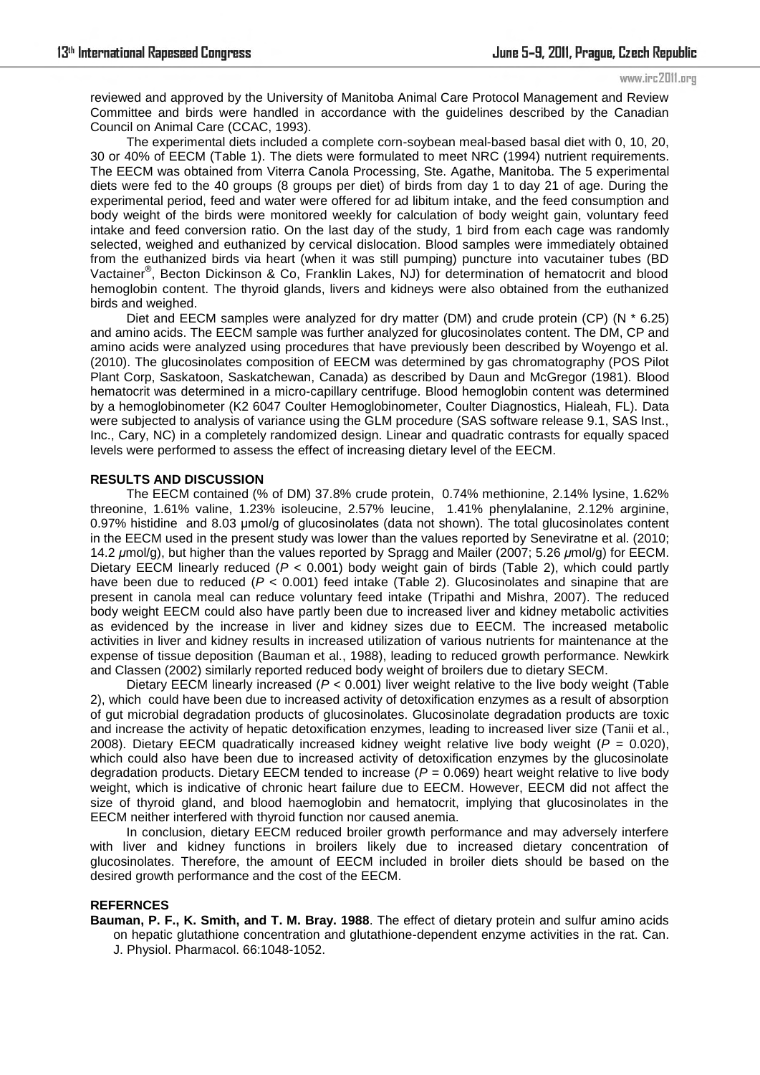reviewed and approved by the University of Manitoba Animal Care Protocol Management and Review Committee and birds were handled in accordance with the guidelines described by the Canadian Council on Animal Care (CCAC, 1993).

The experimental diets included a complete corn-soybean meal-based basal diet with 0, 10, 20, 30 or 40% of EECM (Table 1). The diets were formulated to meet NRC (1994) nutrient requirements. The EECM was obtained from Viterra Canola Processing, Ste. Agathe, Manitoba. The 5 experimental diets were fed to the 40 groups (8 groups per diet) of birds from day 1 to day 21 of age. During the experimental period, feed and water were offered for ad libitum intake, and the feed consumption and body weight of the birds were monitored weekly for calculation of body weight gain, voluntary feed intake and feed conversion ratio. On the last day of the study, 1 bird from each cage was randomly selected, weighed and euthanized by cervical dislocation. Blood samples were immediately obtained from the euthanized birds via heart (when it was still pumping) puncture into vacutainer tubes (BD Vactainer® , Becton Dickinson & Co, Franklin Lakes, NJ) for determination of hematocrit and blood hemoglobin content. The thyroid glands, livers and kidneys were also obtained from the euthanized birds and weighed.

Diet and EECM samples were analyzed for dry matter (DM) and crude protein (CP) (N \* 6.25) and amino acids. The EECM sample was further analyzed for glucosinolates content. The DM, CP and amino acids were analyzed using procedures that have previously been described by Woyengo et al. (2010). The glucosinolates composition of EECM was determined by gas chromatography (POS Pilot Plant Corp, Saskatoon, Saskatchewan, Canada) as described by Daun and McGregor (1981). Blood hematocrit was determined in a micro-capillary centrifuge. Blood hemoglobin content was determined by a hemoglobinometer (K2 6047 Coulter Hemoglobinometer, Coulter Diagnostics, Hialeah, FL). Data were subjected to analysis of variance using the GLM procedure (SAS software release 9.1, SAS Inst., Inc., Cary, NC) in a completely randomized design. Linear and quadratic contrasts for equally spaced levels were performed to assess the effect of increasing dietary level of the EECM.

### **RESULTS AND DISCUSSION**

The EECM contained (% of DM) 37.8% crude protein, 0.74% methionine, 2.14% lysine, 1.62% threonine, 1.61% valine, 1.23% isoleucine, 2.57% leucine, 1.41% phenylalanine, 2.12% arginine, 0.97% histidine and 8.03 μmol/g of glucosinolates (data not shown). The total glucosinolates content in the EECM used in the present study was lower than the values reported by Seneviratne et al. (2010; 14.2 *μ*mol/g), but higher than the values reported by Spragg and Mailer (2007; 5.26 *μ*mol/g) for EECM. Dietary EECM linearly reduced (*P* < 0.001) body weight gain of birds (Table 2), which could partly have been due to reduced ( $P < 0.001$ ) feed intake (Table 2). Glucosinolates and sinapine that are present in canola meal can reduce voluntary feed intake (Tripathi and Mishra, 2007). The reduced body weight EECM could also have partly been due to increased liver and kidney metabolic activities as evidenced by the increase in liver and kidney sizes due to EECM. The increased metabolic activities in liver and kidney results in increased utilization of various nutrients for maintenance at the expense of tissue deposition (Bauman et al., 1988), leading to reduced growth performance. Newkirk and Classen (2002) similarly reported reduced body weight of broilers due to dietary SECM.

Dietary EECM linearly increased (*P* < 0.001) liver weight relative to the live body weight (Table 2), which could have been due to increased activity of detoxification enzymes as a result of absorption of gut microbial degradation products of glucosinolates. Glucosinolate degradation products are toxic and increase the activity of hepatic detoxification enzymes, leading to increased liver size (Tanii et al., 2008). Dietary EECM quadratically increased kidney weight relative live body weight (*P* = 0.020), which could also have been due to increased activity of detoxification enzymes by the glucosinolate degradation products. Dietary EECM tended to increase (*P* = 0.069) heart weight relative to live body weight, which is indicative of chronic heart failure due to EECM. However, EECM did not affect the size of thyroid gland, and blood haemoglobin and hematocrit, implying that glucosinolates in the EECM neither interfered with thyroid function nor caused anemia.

In conclusion, dietary EECM reduced broiler growth performance and may adversely interfere with liver and kidney functions in broilers likely due to increased dietary concentration of glucosinolates. Therefore, the amount of EECM included in broiler diets should be based on the desired growth performance and the cost of the EECM.

### **REFERNCES**

**Bauman, P. F., K. Smith, and T. M. Bray. 1988**. The effect of dietary protein and sulfur amino acids on hepatic glutathione concentration and glutathione-dependent enzyme activities in the rat. Can. J. Physiol. Pharmacol. 66:1048-1052.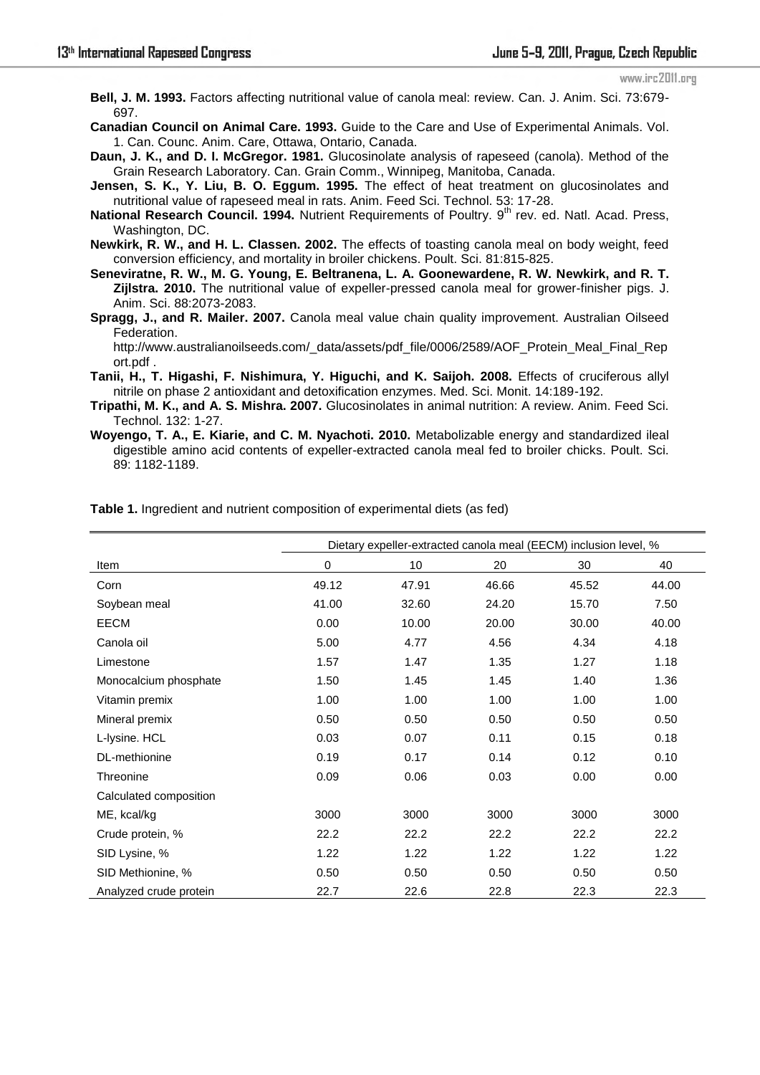**Bell, J. M. 1993.** Factors affecting nutritional value of canola meal: review. Can. J. Anim. Sci. 73:679- 697.

**Canadian Council on Animal Care. 1993.** Guide to the Care and Use of Experimental Animals. Vol. 1. Can. Counc. Anim. Care, Ottawa, Ontario, Canada.

**Daun, J. K., and D. I. McGregor. 1981.** Glucosinolate analysis of rapeseed (canola). Method of the Grain Research Laboratory. Can. Grain Comm., Winnipeg, Manitoba, Canada.

**Jensen, S. K., Y. Liu, B. O. Eggum. 1995.** The effect of heat treatment on glucosinolates and nutritional value of rapeseed meal in rats. Anim. Feed Sci. Technol. 53: 17-28.

National Research Council. 1994. Nutrient Requirements of Poultry. 9<sup>th</sup> rev. ed. Natl. Acad. Press. Washington, DC.

**Newkirk, R. W., and H. L. Classen. 2002.** The effects of toasting canola meal on body weight, feed conversion efficiency, and mortality in broiler chickens. Poult. Sci. 81:815-825.

**Seneviratne, R. W., M. G. Young, E. Beltranena, L. A. Goonewardene, R. W. Newkirk, and R. T. Zijlstra. 2010.** The nutritional value of expeller-pressed canola meal for grower-finisher pigs. J. Anim. Sci. 88:2073-2083.

**Spragg, J., and R. Mailer. 2007.** Canola meal value chain quality improvement. Australian Oilseed Federation.

http://www.australianoilseeds.com/\_data/assets/pdf\_file/0006/2589/AOF\_Protein\_Meal\_Final\_Rep ort.pdf .

**Tanii, H., T. Higashi, F. Nishimura, Y. Higuchi, and K. Saijoh. 2008.** Effects of cruciferous allyl nitrile on phase 2 antioxidant and detoxification enzymes. Med. Sci. Monit. 14:189-192.

**Tripathi, M. K., and A. S. Mishra. 2007.** Glucosinolates in animal nutrition: A review. Anim. Feed Sci. Technol. 132: 1-27.

**Woyengo, T. A., E. Kiarie, and C. M. Nyachoti. 2010.** Metabolizable energy and standardized ileal digestible amino acid contents of expeller-extracted canola meal fed to broiler chicks. Poult. Sci. 89: 1182-1189.

|                        | Dietary expeller-extracted canola meal (EECM) inclusion level, % |       |       |       |       |  |  |  |
|------------------------|------------------------------------------------------------------|-------|-------|-------|-------|--|--|--|
| Item                   | 0                                                                | 10    | 20    | 30    | 40    |  |  |  |
| Corn                   | 49.12                                                            | 47.91 | 46.66 | 45.52 | 44.00 |  |  |  |
| Soybean meal           | 41.00                                                            | 32.60 | 24.20 | 15.70 | 7.50  |  |  |  |
| EECM                   | 0.00                                                             | 10.00 | 20.00 | 30.00 | 40.00 |  |  |  |
| Canola oil             | 5.00                                                             | 4.77  | 4.56  | 4.34  | 4.18  |  |  |  |
| Limestone              | 1.57                                                             | 1.47  | 1.35  | 1.27  | 1.18  |  |  |  |
| Monocalcium phosphate  | 1.50                                                             | 1.45  | 1.45  | 1.40  | 1.36  |  |  |  |
| Vitamin premix         | 1.00                                                             | 1.00  | 1.00  | 1.00  | 1.00  |  |  |  |
| Mineral premix         | 0.50                                                             | 0.50  | 0.50  | 0.50  | 0.50  |  |  |  |
| L-lysine. HCL          | 0.03                                                             | 0.07  | 0.11  | 0.15  | 0.18  |  |  |  |
| DL-methionine          | 0.19                                                             | 0.17  | 0.14  | 0.12  | 0.10  |  |  |  |
| Threonine              | 0.09                                                             | 0.06  | 0.03  | 0.00  | 0.00  |  |  |  |
| Calculated composition |                                                                  |       |       |       |       |  |  |  |
| ME, kcal/kg            | 3000                                                             | 3000  | 3000  | 3000  | 3000  |  |  |  |
| Crude protein, %       | 22.2                                                             | 22.2  | 22.2  | 22.2  | 22.2  |  |  |  |
| SID Lysine, %          | 1.22                                                             | 1.22  | 1.22  | 1.22  | 1.22  |  |  |  |
| SID Methionine, %      | 0.50                                                             | 0.50  | 0.50  | 0.50  | 0.50  |  |  |  |
| Analyzed crude protein | 22.7                                                             | 22.6  | 22.8  | 22.3  | 22.3  |  |  |  |

**Table 1.** Ingredient and nutrient composition of experimental diets (as fed)